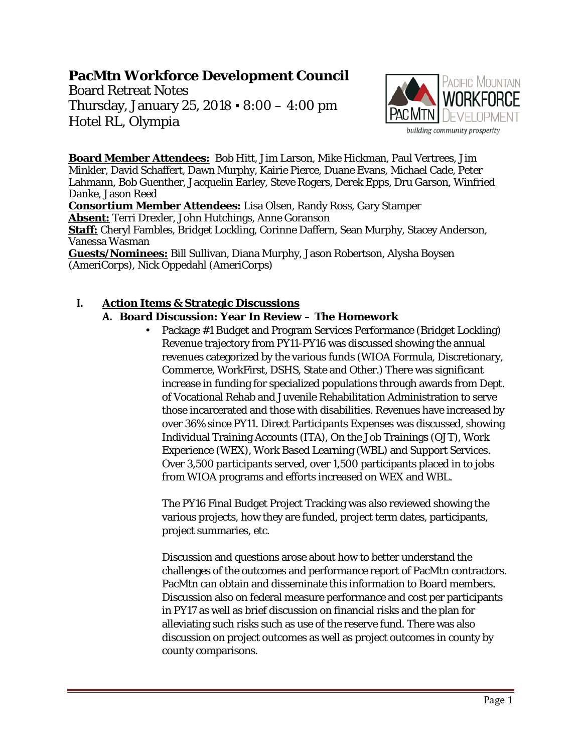#### **PacMtn Workforce Development Council**

Board Retreat Notes Thursday, January 25, 2018 ▪ 8:00 – 4:00 pm Hotel RL, Olympia



**Board Member Attendees:** Bob Hitt, Jim Larson, Mike Hickman, Paul Vertrees, Jim Minkler, David Schaffert, Dawn Murphy, Kairie Pierce, Duane Evans, Michael Cade, Peter Lahmann, Bob Guenther, Jacquelin Earley, Steve Rogers, Derek Epps, Dru Garson, Winfried Danke, Jason Reed

**Consortium Member Attendees:** Lisa Olsen, Randy Ross, Gary Stamper **Absent:** Terri Drexler, John Hutchings, Anne Goranson

**Staff:** Cheryl Fambles, Bridget Lockling, Corinne Daffern, Sean Murphy, Stacey Anderson, Vanessa Wasman

**Guests/Nominees:** Bill Sullivan, Diana Murphy, Jason Robertson, Alysha Boysen (AmeriCorps), Nick Oppedahl (AmeriCorps)

#### **I. Action Items & Strategic Discussions**

#### **A. Board Discussion: Year In Review – The Homework**

• Package #1 Budget and Program Services Performance (Bridget Lockling) Revenue trajectory from PY11-PY16 was discussed showing the annual revenues categorized by the various funds (WIOA Formula, Discretionary, Commerce, WorkFirst, DSHS, State and Other.) There was significant increase in funding for specialized populations through awards from Dept. of Vocational Rehab and Juvenile Rehabilitation Administration to serve those incarcerated and those with disabilities. Revenues have increased by over 36% since PY11. Direct Participants Expenses was discussed, showing Individual Training Accounts (ITA), On the Job Trainings (OJT), Work Experience (WEX), Work Based Learning (WBL) and Support Services. Over 3,500 participants served, over 1,500 participants placed in to jobs from WIOA programs and efforts increased on WEX and WBL.

The PY16 Final Budget Project Tracking was also reviewed showing the various projects, how they are funded, project term dates, participants, project summaries, etc.

Discussion and questions arose about how to better understand the challenges of the outcomes and performance report of PacMtn contractors. PacMtn can obtain and disseminate this information to Board members. Discussion also on federal measure performance and cost per participants in PY17 as well as brief discussion on financial risks and the plan for alleviating such risks such as use of the reserve fund. There was also discussion on project outcomes as well as project outcomes in county by county comparisons.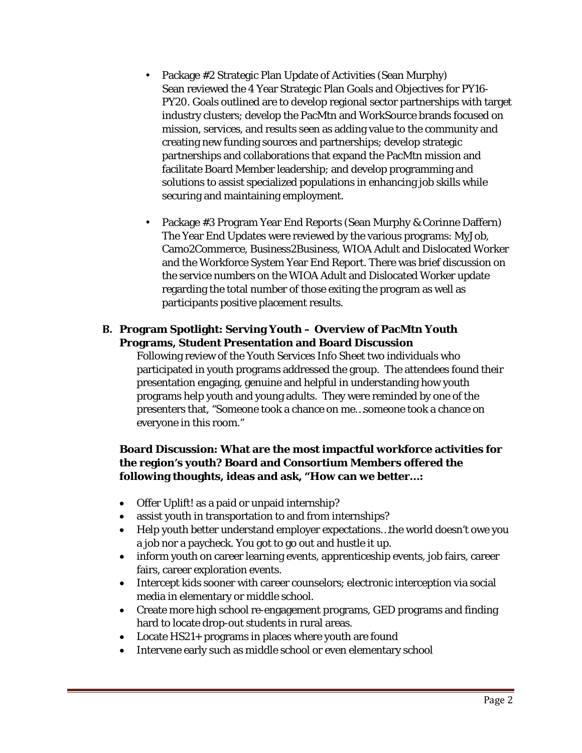- Package #2 Strategic Plan Update of Activities (Sean Murphy) Sean reviewed the 4 Year Strategic Plan Goals and Objectives for PY16- PY20. Goals outlined are to develop regional sector partnerships with target industry clusters; develop the PacMtn and WorkSource brands focused on mission, services, and results seen as adding value to the community and creating new funding sources and partnerships; develop strategic partnerships and collaborations that expand the PacMtn mission and facilitate Board Member leadership; and develop programming and solutions to assist specialized populations in enhancing job skills while securing and maintaining employment.
- Package #3 Program Year End Reports (Sean Murphy & Corinne Daffern) The Year End Updates were reviewed by the various programs: MyJob, Camo2Commerce, Business2Business, WIOA Adult and Dislocated Worker and the Workforce System Year End Report. There was brief discussion on the service numbers on the WIOA Adult and Dislocated Worker update regarding the total number of those exiting the program as well as participants positive placement results.

#### **B. Program Spotlight: Serving Youth – Overview of PacMtn Youth Programs, Student Presentation and Board Discussion**

Following review of the Youth Services Info Sheet two individuals who participated in youth programs addressed the group. The attendees found their presentation engaging, genuine and helpful in understanding how youth programs help youth and young adults. They were reminded by one of the presenters that, "Someone took a chance on me…someone took a chance on everyone in this room."

#### **Board Discussion: What are the most impactful workforce activities for the region's youth? Board and Consortium Members offered the following thoughts, ideas and ask, "How can we better…:**

- Offer Uplift! as a paid or unpaid internship?
- assist youth in transportation to and from internships?
- Help youth better understand employer expectations...the world doesn't owe you a job nor a paycheck. You got to go out and hustle it up.
- inform youth on career learning events, apprenticeship events, job fairs, career fairs, career exploration events.
- Intercept kids sooner with career counselors; electronic interception via social media in elementary or middle school.
- Create more high school re-engagement programs, GED programs and finding hard to locate drop-out students in rural areas.
- Locate HS21+ programs in places where youth are found
- Intervene early such as middle school or even elementary school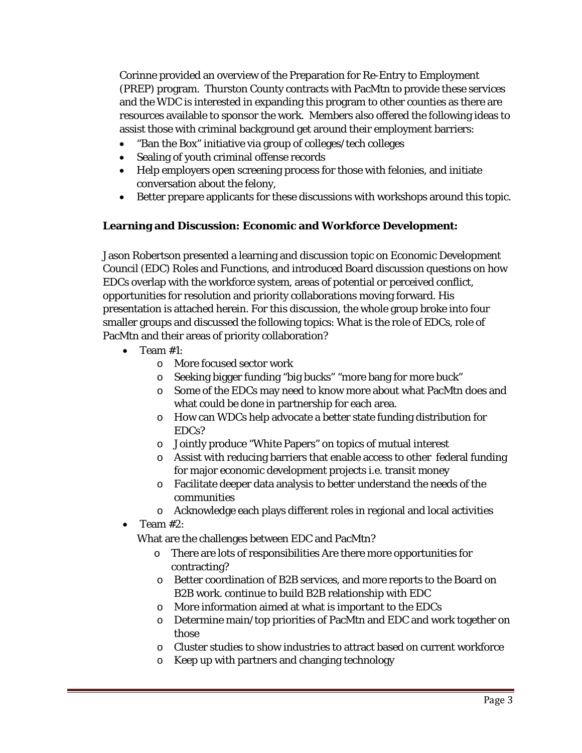Corinne provided an overview of the Preparation for Re-Entry to Employment (PREP) program. Thurston County contracts with PacMtn to provide these services and the WDC is interested in expanding this program to other counties as there are resources available to sponsor the work. Members also offered the following ideas to assist those with criminal background get around their employment barriers:

- "Ban the Box" initiative via group of colleges/tech colleges
- Sealing of youth criminal offense records
- Help employers open screening process for those with felonies, and initiate conversation about the felony,
- Better prepare applicants for these discussions with workshops around this topic.

#### **Learning and Discussion: Economic and Workforce Development:**

Jason Robertson presented a learning and discussion topic on Economic Development Council (EDC) Roles and Functions, and introduced Board discussion questions on how EDCs overlap with the workforce system, areas of potential or perceived conflict, opportunities for resolution and priority collaborations moving forward. His presentation is attached herein. For this discussion, the whole group broke into four smaller groups and discussed the following topics: What is the role of EDCs, role of PacMtn and their areas of priority collaboration?

- Team #1:
	- o More focused sector work
	- o Seeking bigger funding "big bucks" "more bang for more buck"
	- o Some of the EDCs may need to know more about what PacMtn does and what could be done in partnership for each area.
	- o How can WDCs help advocate a better state funding distribution for EDCs?
	- o Jointly produce "White Papers" on topics of mutual interest
	- o Assist with reducing barriers that enable access to other federal funding for major economic development projects i.e. transit money
	- o Facilitate deeper data analysis to better understand the needs of the communities
	- o Acknowledge each plays different roles in regional and local activities
- Team #2:

What are the challenges between EDC and PacMtn?

- o There are lots of responsibilities Are there more opportunities for contracting?
- o Better coordination of B2B services, and more reports to the Board on B2B work. continue to build B2B relationship with EDC
- o More information aimed at what is important to the EDCs
- o Determine main/top priorities of PacMtn and EDC and work together on those
- o Cluster studies to show industries to attract based on current workforce
- o Keep up with partners and changing technology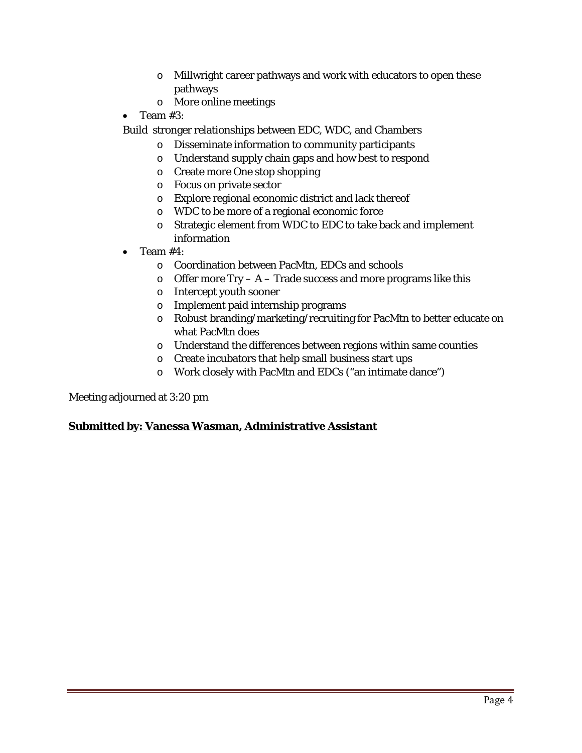- o Millwright career pathways and work with educators to open these pathways
- o More online meetings
- Team #3:

Build stronger relationships between EDC, WDC, and Chambers

- o Disseminate information to community participants
- o Understand supply chain gaps and how best to respond
- o Create more One stop shopping
- o Focus on private sector
- o Explore regional economic district and lack thereof
- o WDC to be more of a regional economic force
- o Strategic element from WDC to EDC to take back and implement information
- Team #4:
	- o Coordination between PacMtn, EDCs and schools
	- $\circ$  Offer more Try A Trade success and more programs like this
	- o Intercept youth sooner
	- o Implement paid internship programs
	- o Robust branding/marketing/recruiting for PacMtn to better educate on what PacMtn does
	- o Understand the differences between regions within same counties
	- o Create incubators that help small business start ups
	- o Work closely with PacMtn and EDCs ("an intimate dance")

Meeting adjourned at 3:20 pm

#### **Submitted by: Vanessa Wasman, Administrative Assistant**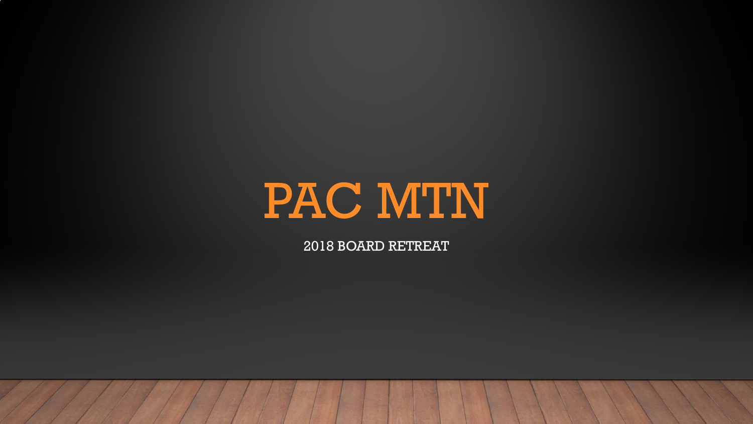2018 BOARD RETREAT

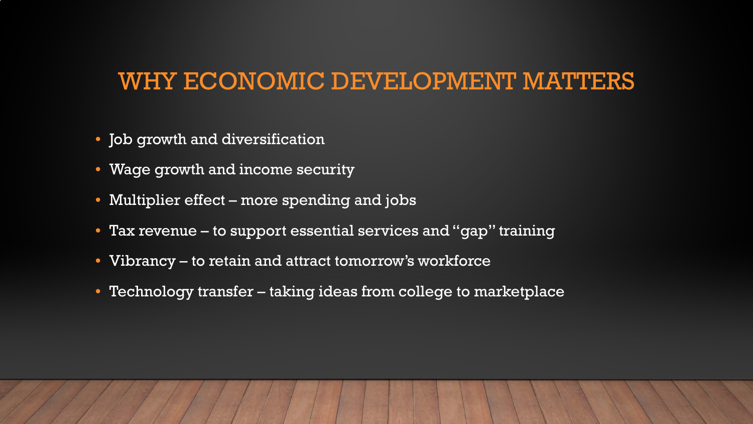### WHY ECONOMIC DEVELOPMENT MATTERS

- Job growth and diversification
- Wage growth and income security
- Multiplier effect more spending and jobs
- Tax revenue to support essential services and "gap" training
- Vibrancy to retain and attract tomorrow's workforce
- Technology transfer taking ideas from college to marketplace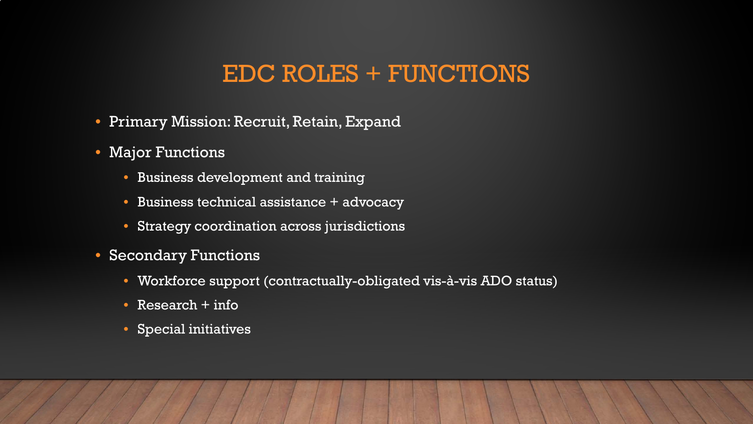### EDC ROLES + FUNCTIONS

- Primary Mission: Recruit, Retain, Expand
- Major Functions
	- Business development and training
	- Business technical assistance + advocacy
	- Strategy coordination across jurisdictions
- Secondary Functions
	- Workforce support (contractually-obligated vis-à-vis ADO status)
	- Research + info
	- Special initiatives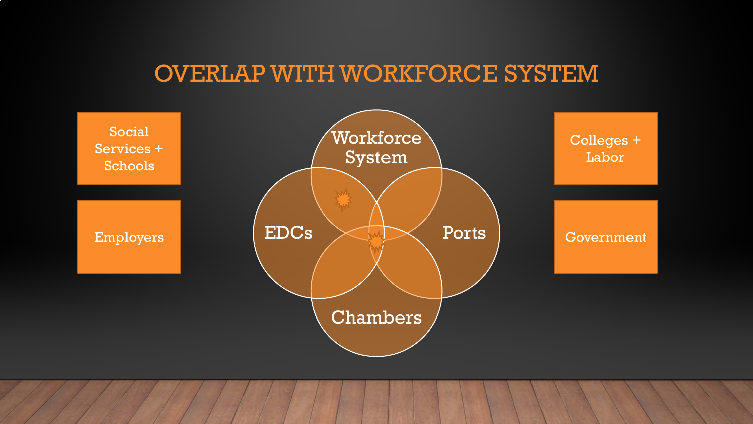# OVERLAP WITH WORKFORCE SYSTEM

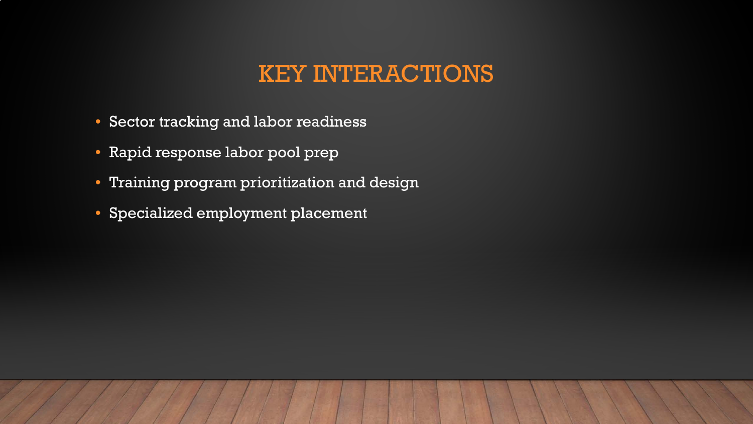## KEY INTERACTIONS

- Sector tracking and labor readiness
- Rapid response labor pool prep
- Training program prioritization and design
- Specialized employment placement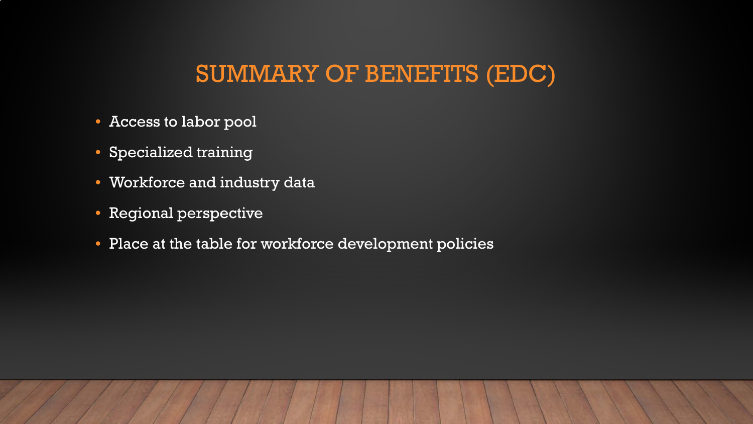SUMMARY OF BENEFITS (EDC)

- Access to labor pool
- Specialized training
- Workforce and industry data
- Regional perspective
- Place at the table for workforce development policies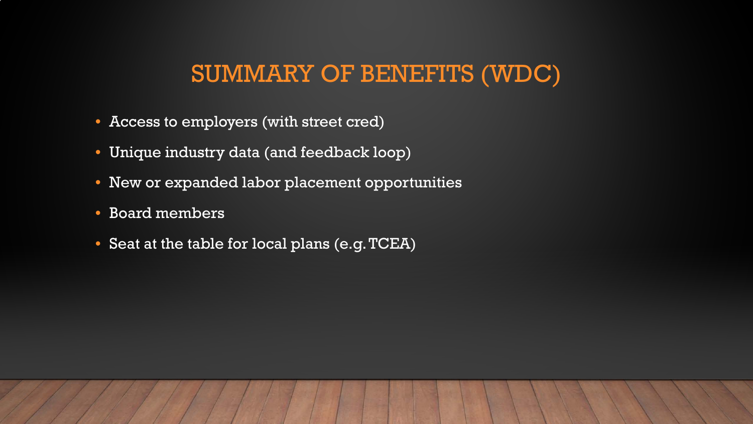### SUMMARY OF BENEFITS (WDC)

- Access to employers (with street cred)
- Unique industry data (and feedback loop)
- New or expanded labor placement opportunities
- Board members
- Seat at the table for local plans (e.g. TCEA)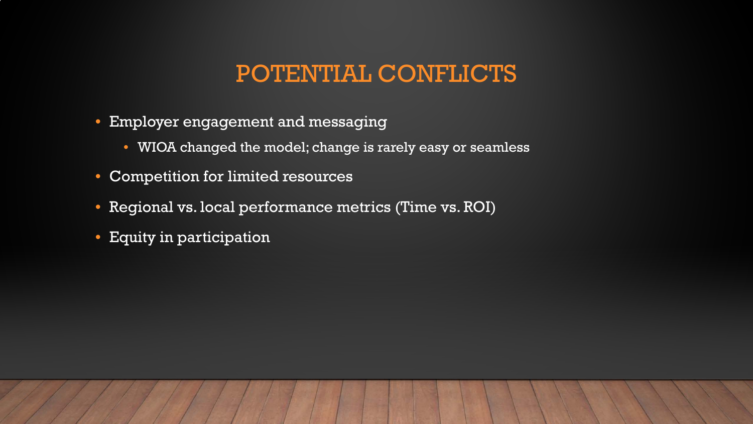### POTENTIAL CONFLICTS

- **Employer engagement and messaging** 
	- WIOA changed the model; change is rarely easy or seamless
- Competition for limited resources
- Regional vs. local performance metrics (Time vs. ROI)
- Equity in participation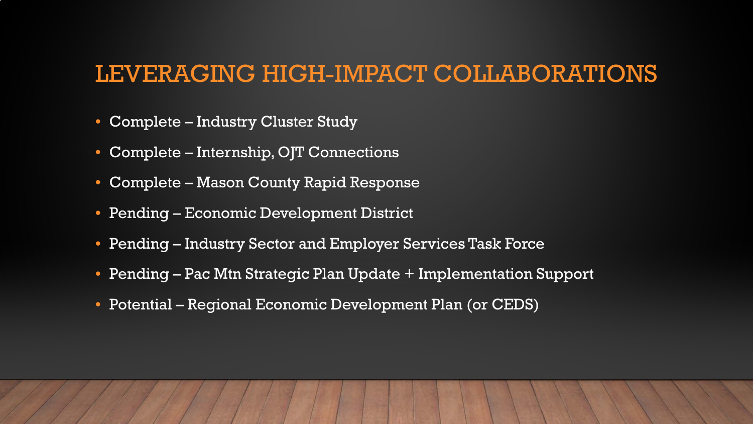### LEVERAGING HIGH-IMPACT COLLABORATIONS

- Complete Industry Cluster Study
- Complete Internship, OJT Connections
- Complete Mason County Rapid Response
- Pending Economic Development District
- Pending Industry Sector and Employer Services Task Force
- Pending Pac Mtn Strategic Plan Update + Implementation Support
- Potential Regional Economic Development Plan (or CEDS)